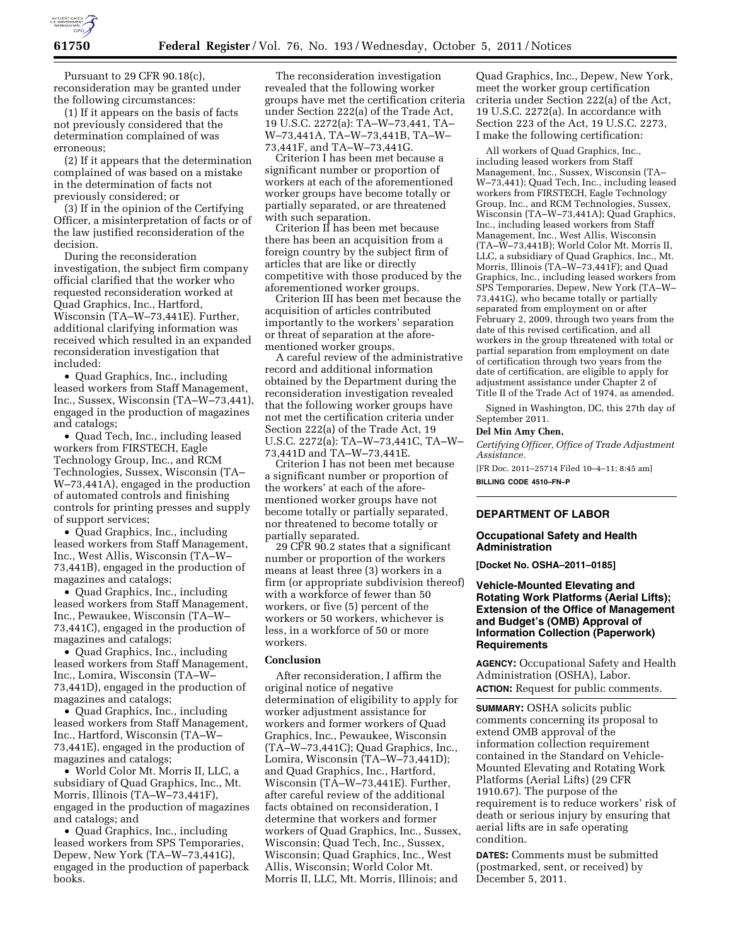

Pursuant to 29 CFR 90.18(c), reconsideration may be granted under the following circumstances:

(1) If it appears on the basis of facts not previously considered that the determination complained of was erroneous;

(2) If it appears that the determination complained of was based on a mistake in the determination of facts not previously considered; or

(3) If in the opinion of the Certifying Officer, a misinterpretation of facts or of the law justified reconsideration of the decision.

During the reconsideration investigation, the subject firm company official clarified that the worker who requested reconsideration worked at Quad Graphics, Inc., Hartford, Wisconsin (TA–W–73,441E). Further, additional clarifying information was received which resulted in an expanded reconsideration investigation that included:

• Quad Graphics, Inc., including leased workers from Staff Management, Inc., Sussex, Wisconsin (TA–W–73,441), engaged in the production of magazines and catalogs;

• Quad Tech, Inc., including leased workers from FIRSTECH, Eagle Technology Group, Inc., and RCM Technologies, Sussex, Wisconsin (TA– W–73,441A), engaged in the production of automated controls and finishing controls for printing presses and supply of support services;

• Quad Graphics, Inc., including leased workers from Staff Management, Inc., West Allis, Wisconsin (TA–W– 73,441B), engaged in the production of magazines and catalogs;

• Quad Graphics, Inc., including leased workers from Staff Management, Inc., Pewaukee, Wisconsin (TA–W– 73,441C), engaged in the production of magazines and catalogs;

• Quad Graphics, Inc., including leased workers from Staff Management, Inc., Lomira, Wisconsin (TA–W– 73,441D), engaged in the production of magazines and catalogs;

• Quad Graphics, Inc., including leased workers from Staff Management, Inc., Hartford, Wisconsin (TA–W– 73,441E), engaged in the production of magazines and catalogs;

• World Color Mt. Morris II, LLC, a subsidiary of Quad Graphics, Inc., Mt. Morris, Illinois (TA–W–73,441F), engaged in the production of magazines and catalogs; and

• Quad Graphics, Inc., including leased workers from SPS Temporaries, Depew, New York (TA–W–73,441G), engaged in the production of paperback books.

The reconsideration investigation revealed that the following worker groups have met the certification criteria under Section 222(a) of the Trade Act, 19 U.S.C. 2272(a): TA–W–73,441, TA– W–73,441A, TA–W–73,441B, TA–W– 73,441F, and TA–W–73,441G.

Criterion I has been met because a significant number or proportion of workers at each of the aforementioned worker groups have become totally or partially separated, or are threatened with such separation.

Criterion II has been met because there has been an acquisition from a foreign country by the subject firm of articles that are like or directly competitive with those produced by the aforementioned worker groups.

Criterion III has been met because the acquisition of articles contributed importantly to the workers' separation or threat of separation at the aforementioned worker groups.

A careful review of the administrative record and additional information obtained by the Department during the reconsideration investigation revealed that the following worker groups have not met the certification criteria under Section 222(a) of the Trade Act, 19 U.S.C. 2272(a): TA–W–73,441C, TA–W– 73,441D and TA–W–73,441E.

Criterion I has not been met because a significant number or proportion of the workers' at each of the aforementioned worker groups have not become totally or partially separated, nor threatened to become totally or partially separated.

29 CFR 90.2 states that a significant number or proportion of the workers means at least three (3) workers in a firm (or appropriate subdivision thereof) with a workforce of fewer than 50 workers, or five (5) percent of the workers or 50 workers, whichever is less, in a workforce of 50 or more workers.

#### **Conclusion**

After reconsideration, I affirm the original notice of negative determination of eligibility to apply for worker adjustment assistance for workers and former workers of Quad Graphics, Inc., Pewaukee, Wisconsin (TA–W–73,441C); Quad Graphics, Inc., Lomira, Wisconsin (TA–W–73,441D); and Quad Graphics, Inc., Hartford, Wisconsin (TA–W–73,441E). Further, after careful review of the additional facts obtained on reconsideration, I determine that workers and former workers of Quad Graphics, Inc., Sussex, Wisconsin; Quad Tech, Inc., Sussex, Wisconsin; Quad Graphics, Inc., West Allis, Wisconsin; World Color Mt. Morris II, LLC, Mt. Morris, Illinois; and

Quad Graphics, Inc., Depew, New York, meet the worker group certification criteria under Section 222(a) of the Act, 19 U.S.C. 2272(a). In accordance with Section 223 of the Act, 19 U.S.C. 2273, I make the following certification:

All workers of Quad Graphics, Inc., including leased workers from Staff Management, Inc., Sussex, Wisconsin (TA– W–73,441); Quad Tech, Inc., including leased workers from FIRSTECH, Eagle Technology Group, Inc., and RCM Technologies, Sussex, Wisconsin (TA–W–73,441A); Quad Graphics, Inc., including leased workers from Staff Management, Inc., West Allis, Wisconsin (TA–W–73,441B); World Color Mt. Morris II, LLC, a subsidiary of Quad Graphics, Inc., Mt. Morris, Illinois (TA–W–73,441F); and Quad Graphics, Inc., including leased workers from SPS Temporaries, Depew, New York (TA–W– 73,441G), who became totally or partially separated from employment on or after February 2, 2009, through two years from the date of this revised certification, and all workers in the group threatened with total or partial separation from employment on date of certification through two years from the date of certification, are eligible to apply for adjustment assistance under Chapter 2 of Title II of the Trade Act of 1974, as amended.

Signed in Washington, DC, this 27th day of September 2011.

## **Del Min Amy Chen,**

*Certifying Officer, Office of Trade Adjustment Assistance.* 

[FR Doc. 2011–25714 Filed 10–4–11; 8:45 am] **BILLING CODE 4510–FN–P** 

# **DEPARTMENT OF LABOR**

#### **Occupational Safety and Health Administration**

**[Docket No. OSHA–2011–0185]** 

## **Vehicle-Mounted Elevating and Rotating Work Platforms (Aerial Lifts); Extension of the Office of Management and Budget's (OMB) Approval of Information Collection (Paperwork) Requirements**

**AGENCY:** Occupational Safety and Health Administration (OSHA), Labor. **ACTION:** Request for public comments.

**SUMMARY:** OSHA solicits public comments concerning its proposal to extend OMB approval of the information collection requirement contained in the Standard on Vehicle-Mounted Elevating and Rotating Work Platforms (Aerial Lifts) (29 CFR 1910.67). The purpose of the requirement is to reduce workers' risk of death or serious injury by ensuring that aerial lifts are in safe operating condition.

**DATES:** Comments must be submitted (postmarked, sent, or received) by December 5, 2011.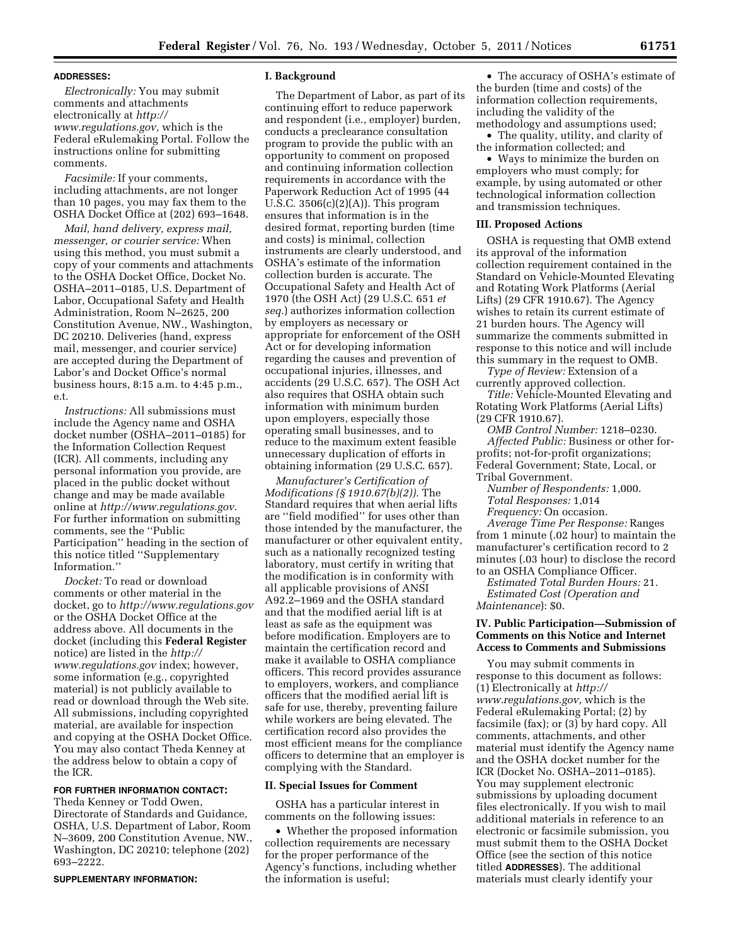#### **ADDRESSES:**

*Electronically:* You may submit comments and attachments electronically at *[http://](http://www.regulations.gov) [www.regulations.gov,](http://www.regulations.gov)* which is the Federal eRulemaking Portal. Follow the instructions online for submitting comments.

*Facsimile:* If your comments, including attachments, are not longer than 10 pages, you may fax them to the OSHA Docket Office at (202) 693–1648.

*Mail, hand delivery, express mail, messenger, or courier service:* When using this method, you must submit a copy of your comments and attachments to the OSHA Docket Office, Docket No. OSHA–2011–0185, U.S. Department of Labor, Occupational Safety and Health Administration, Room N–2625, 200 Constitution Avenue, NW., Washington, DC 20210. Deliveries (hand, express mail, messenger, and courier service) are accepted during the Department of Labor's and Docket Office's normal business hours, 8:15 a.m. to 4:45 p.m., e.t.

*Instructions:* All submissions must include the Agency name and OSHA docket number (OSHA–2011–0185) for the Information Collection Request (ICR). All comments, including any personal information you provide, are placed in the public docket without change and may be made available online at *[http://www.regulations.gov.](http://www.regulations.gov)*  For further information on submitting comments, see the ''Public Participation'' heading in the section of this notice titled ''Supplementary Information.''

*Docket:* To read or download comments or other material in the docket, go to *<http://www.regulations.gov>*  or the OSHA Docket Office at the address above. All documents in the docket (including this **Federal Register**  notice) are listed in the *[http://](http://www.regulations.gov) [www.regulations.gov](http://www.regulations.gov)* index; however, some information (e.g., copyrighted material) is not publicly available to read or download through the Web site. All submissions, including copyrighted material, are available for inspection and copying at the OSHA Docket Office. You may also contact Theda Kenney at the address below to obtain a copy of the ICR.

### **FOR FURTHER INFORMATION CONTACT:**

Theda Kenney or Todd Owen, Directorate of Standards and Guidance, OSHA, U.S. Department of Labor, Room N–3609, 200 Constitution Avenue, NW., Washington, DC 20210; telephone (202) 693–2222.

#### **SUPPLEMENTARY INFORMATION:**

#### **I. Background**

The Department of Labor, as part of its continuing effort to reduce paperwork and respondent (i.e., employer) burden, conducts a preclearance consultation program to provide the public with an opportunity to comment on proposed and continuing information collection requirements in accordance with the Paperwork Reduction Act of 1995 (44 U.S.C.  $3506(c)(2)(A)$ . This program ensures that information is in the desired format, reporting burden (time and costs) is minimal, collection instruments are clearly understood, and OSHA's estimate of the information collection burden is accurate. The Occupational Safety and Health Act of 1970 (the OSH Act) (29 U.S.C. 651 *et seq.*) authorizes information collection by employers as necessary or appropriate for enforcement of the OSH Act or for developing information regarding the causes and prevention of occupational injuries, illnesses, and accidents (29 U.S.C. 657). The OSH Act also requires that OSHA obtain such information with minimum burden upon employers, especially those operating small businesses, and to reduce to the maximum extent feasible unnecessary duplication of efforts in obtaining information (29 U.S.C. 657).

*Manufacturer's Certification of Modifications (§ 1910.67(b)(2)).* The Standard requires that when aerial lifts are ''field modified'' for uses other than those intended by the manufacturer, the manufacturer or other equivalent entity, such as a nationally recognized testing laboratory, must certify in writing that the modification is in conformity with all applicable provisions of ANSI A92.2–1969 and the OSHA standard and that the modified aerial lift is at least as safe as the equipment was before modification. Employers are to maintain the certification record and make it available to OSHA compliance officers. This record provides assurance to employers, workers, and compliance officers that the modified aerial lift is safe for use, thereby, preventing failure while workers are being elevated. The certification record also provides the most efficient means for the compliance officers to determine that an employer is complying with the Standard.

#### **II. Special Issues for Comment**

OSHA has a particular interest in comments on the following issues:

• Whether the proposed information collection requirements are necessary for the proper performance of the Agency's functions, including whether the information is useful;

• The accuracy of OSHA's estimate of the burden (time and costs) of the information collection requirements, including the validity of the methodology and assumptions used;

• The quality, utility, and clarity of the information collected; and

• Ways to minimize the burden on employers who must comply; for example, by using automated or other technological information collection and transmission techniques.

#### **III. Proposed Actions**

OSHA is requesting that OMB extend its approval of the information collection requirement contained in the Standard on Vehicle-Mounted Elevating and Rotating Work Platforms (Aerial Lifts) (29 CFR 1910.67). The Agency wishes to retain its current estimate of 21 burden hours. The Agency will summarize the comments submitted in response to this notice and will include this summary in the request to OMB.

*Type of Review:* Extension of a currently approved collection.

*Title:* Vehicle-Mounted Elevating and Rotating Work Platforms (Aerial Lifts) (29 CFR 1910.67).

*OMB Control Number:* 1218–0230. *Affected Public:* Business or other forprofits; not-for-profit organizations; Federal Government; State, Local, or Tribal Government.

*Number of Respondents:* 1,000. *Total Responses:* 1,014 *Frequency:* On occasion.

*Average Time Per Response:* Ranges from 1 minute (.02 hour) to maintain the manufacturer's certification record to 2 minutes (.03 hour) to disclose the record to an OSHA Compliance Officer.

*Estimated Total Burden Hours:* 21. *Estimated Cost (Operation and Maintenance*): \$0.

## **IV. Public Participation—Submission of Comments on this Notice and Internet Access to Comments and Submissions**

You may submit comments in response to this document as follows: (1) Electronically at *[http://](http://www.regulations.gov)  [www.regulations.gov,](http://www.regulations.gov)* which is the Federal eRulemaking Portal; (2) by facsimile (fax); or (3) by hard copy. All comments, attachments, and other material must identify the Agency name and the OSHA docket number for the ICR (Docket No. OSHA–2011–0185). You may supplement electronic submissions by uploading document files electronically. If you wish to mail additional materials in reference to an electronic or facsimile submission, you must submit them to the OSHA Docket Office (see the section of this notice titled **ADDRESSES**). The additional materials must clearly identify your